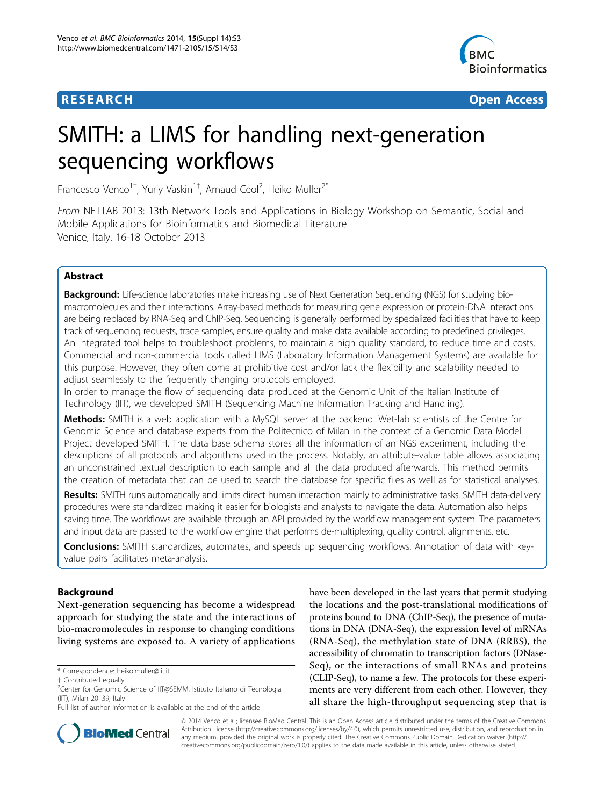

**RESEARCH CONSTRUCTION CONSTRUCTS** 

# SMITH: a LIMS for handling next-generation sequencing workflows

Francesco Venco<sup>1†</sup>, Yuriy Vaskin<sup>1†</sup>, Arnaud Ceol<sup>2</sup>, Heiko Muller<sup>2\*</sup>

From NETTAB 2013: 13th Network Tools and Applications in Biology Workshop on Semantic, Social and Mobile Applications for Bioinformatics and Biomedical Literature Venice, Italy. 16-18 October 2013

# Abstract

**Background:** Life-science laboratories make increasing use of Next Generation Sequencing (NGS) for studying biomacromolecules and their interactions. Array-based methods for measuring gene expression or protein-DNA interactions are being replaced by RNA-Seq and ChIP-Seq. Sequencing is generally performed by specialized facilities that have to keep track of sequencing requests, trace samples, ensure quality and make data available according to predefined privileges. An integrated tool helps to troubleshoot problems, to maintain a high quality standard, to reduce time and costs. Commercial and non-commercial tools called LIMS (Laboratory Information Management Systems) are available for this purpose. However, they often come at prohibitive cost and/or lack the flexibility and scalability needed to adjust seamlessly to the frequently changing protocols employed.

In order to manage the flow of sequencing data produced at the Genomic Unit of the Italian Institute of Technology (IIT), we developed SMITH (Sequencing Machine Information Tracking and Handling).

Methods: SMITH is a web application with a MySQL server at the backend. Wet-lab scientists of the Centre for Genomic Science and database experts from the Politecnico of Milan in the context of a Genomic Data Model Project developed SMITH. The data base schema stores all the information of an NGS experiment, including the descriptions of all protocols and algorithms used in the process. Notably, an attribute-value table allows associating an unconstrained textual description to each sample and all the data produced afterwards. This method permits the creation of metadata that can be used to search the database for specific files as well as for statistical analyses.

Results: SMITH runs automatically and limits direct human interaction mainly to administrative tasks. SMITH data-delivery procedures were standardized making it easier for biologists and analysts to navigate the data. Automation also helps saving time. The workflows are available through an API provided by the workflow management system. The parameters and input data are passed to the workflow engine that performs de-multiplexing, quality control, alignments, etc.

**Conclusions:** SMITH standardizes, automates, and speeds up sequencing workflows. Annotation of data with keyvalue pairs facilitates meta-analysis.

# Background

Next-generation sequencing has become a widespread approach for studying the state and the interactions of bio-macromolecules in response to changing conditions living systems are exposed to. A variety of applications

have been developed in the last years that permit studying the locations and the post-translational modifications of proteins bound to DNA (ChIP-Seq), the presence of mutations in DNA (DNA-Seq), the expression level of mRNAs (RNA-Seq), the methylation state of DNA (RRBS), the accessibility of chromatin to transcription factors (DNase-Seq), or the interactions of small RNAs and proteins (CLIP-Seq), to name a few. The protocols for these experiments are very different from each other. However, they all share the high-throughput sequencing step that is



© 2014 Venco et al.; licensee BioMed Central. This is an Open Access article distributed under the terms of the Creative Commons Attribution License [\(http://creativecommons.org/licenses/by/4.0](http://creativecommons.org/licenses/by/4.0)), which permits unrestricted use, distribution, and reproduction in any medium, provided the original work is properly cited. The Creative Commons Public Domain Dedication waiver [\(http://](http://creativecommons.org/publicdomain/zero/1.0/) [creativecommons.org/publicdomain/zero/1.0/](http://creativecommons.org/publicdomain/zero/1.0/)) applies to the data made available in this article, unless otherwise stated.

<sup>\*</sup> Correspondence: [heiko.muller@iit.it](mailto:heiko.muller@iit.it)

<sup>†</sup> Contributed equally <sup>2</sup>

<sup>&</sup>lt;sup>2</sup>Center for Genomic Science of IIT@SEMM, Istituto Italiano di Tecnologia (IIT), Milan 20139, Italy

Full list of author information is available at the end of the article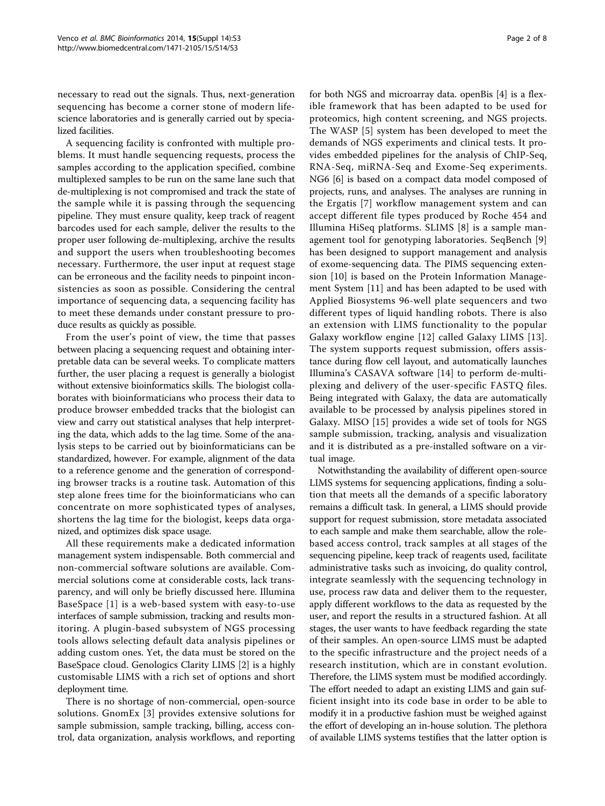necessary to read out the signals. Thus, next-generation sequencing has become a corner stone of modern lifescience laboratories and is generally carried out by specialized facilities.

A sequencing facility is confronted with multiple problems. It must handle sequencing requests, process the samples according to the application specified, combine multiplexed samples to be run on the same lane such that de-multiplexing is not compromised and track the state of the sample while it is passing through the sequencing pipeline. They must ensure quality, keep track of reagent barcodes used for each sample, deliver the results to the proper user following de-multiplexing, archive the results and support the users when troubleshooting becomes necessary. Furthermore, the user input at request stage can be erroneous and the facility needs to pinpoint inconsistencies as soon as possible. Considering the central importance of sequencing data, a sequencing facility has to meet these demands under constant pressure to produce results as quickly as possible.

From the user's point of view, the time that passes between placing a sequencing request and obtaining interpretable data can be several weeks. To complicate matters further, the user placing a request is generally a biologist without extensive bioinformatics skills. The biologist collaborates with bioinformaticians who process their data to produce browser embedded tracks that the biologist can view and carry out statistical analyses that help interpreting the data, which adds to the lag time. Some of the analysis steps to be carried out by bioinformaticians can be standardized, however. For example, alignment of the data to a reference genome and the generation of corresponding browser tracks is a routine task. Automation of this step alone frees time for the bioinformaticians who can concentrate on more sophisticated types of analyses, shortens the lag time for the biologist, keeps data organized, and optimizes disk space usage.

All these requirements make a dedicated information management system indispensable. Both commercial and non-commercial software solutions are available. Commercial solutions come at considerable costs, lack transparency, and will only be briefly discussed here. Illumina BaseSpace [[1](#page-7-0)] is a web-based system with easy-to-use interfaces of sample submission, tracking and results monitoring. A plugin-based subsystem of NGS processing tools allows selecting default data analysis pipelines or adding custom ones. Yet, the data must be stored on the BaseSpace cloud. Genologics Clarity LIMS [[2\]](#page-7-0) is a highly customisable LIMS with a rich set of options and short deployment time.

There is no shortage of non-commercial, open-source solutions. GnomEx [\[3](#page-7-0)] provides extensive solutions for sample submission, sample tracking, billing, access control, data organization, analysis workflows, and reporting for both NGS and microarray data. openBis [[4\]](#page-7-0) is a flexible framework that has been adapted to be used for proteomics, high content screening, and NGS projects. The WASP [\[5](#page-7-0)] system has been developed to meet the demands of NGS experiments and clinical tests. It provides embedded pipelines for the analysis of ChIP-Seq, RNA-Seq, miRNA-Seq and Exome-Seq experiments. NG6 [[6\]](#page-7-0) is based on a compact data model composed of projects, runs, and analyses. The analyses are running in the Ergatis [\[7](#page-7-0)] workflow management system and can accept different file types produced by Roche 454 and Illumina HiSeq platforms. SLIMS [[8\]](#page-7-0) is a sample management tool for genotyping laboratories. SeqBench [\[9](#page-7-0)] has been designed to support management and analysis of exome-sequencing data. The PIMS sequencing extension [[10\]](#page-7-0) is based on the Protein Information Management System [[11\]](#page-7-0) and has been adapted to be used with Applied Biosystems 96-well plate sequencers and two different types of liquid handling robots. There is also an extension with LIMS functionality to the popular Galaxy workflow engine [[12](#page-7-0)] called Galaxy LIMS [[13](#page-7-0)]. The system supports request submission, offers assistance during flow cell layout, and automatically launches Illumina's CASAVA software [[14\]](#page-7-0) to perform de-multiplexing and delivery of the user-specific FASTQ files. Being integrated with Galaxy, the data are automatically available to be processed by analysis pipelines stored in Galaxy. MISO [[15\]](#page-7-0) provides a wide set of tools for NGS sample submission, tracking, analysis and visualization and it is distributed as a pre-installed software on a virtual image.

Notwithstanding the availability of different open-source LIMS systems for sequencing applications, finding a solution that meets all the demands of a specific laboratory remains a difficult task. In general, a LIMS should provide support for request submission, store metadata associated to each sample and make them searchable, allow the rolebased access control, track samples at all stages of the sequencing pipeline, keep track of reagents used, facilitate administrative tasks such as invoicing, do quality control, integrate seamlessly with the sequencing technology in use, process raw data and deliver them to the requester, apply different workflows to the data as requested by the user, and report the results in a structured fashion. At all stages, the user wants to have feedback regarding the state of their samples. An open-source LIMS must be adapted to the specific infrastructure and the project needs of a research institution, which are in constant evolution. Therefore, the LIMS system must be modified accordingly. The effort needed to adapt an existing LIMS and gain sufficient insight into its code base in order to be able to modify it in a productive fashion must be weighed against the effort of developing an in-house solution. The plethora of available LIMS systems testifies that the latter option is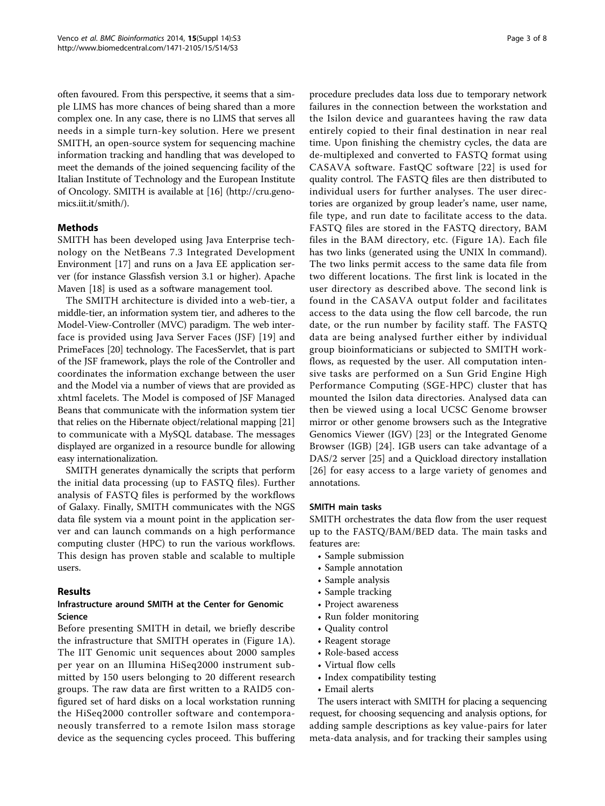often favoured. From this perspective, it seems that a simple LIMS has more chances of being shared than a more complex one. In any case, there is no LIMS that serves all needs in a simple turn-key solution. Here we present SMITH, an open-source system for sequencing machine information tracking and handling that was developed to meet the demands of the joined sequencing facility of the Italian Institute of Technology and the European Institute of Oncology. SMITH is available at [[16\]](#page-7-0) ([http://cru.geno](http://cru.genomics.iit.it/smith/)[mics.iit.it/smith/\)](http://cru.genomics.iit.it/smith/).

# Methods

SMITH has been developed using Java Enterprise technology on the NetBeans 7.3 Integrated Development Environment [\[17\]](#page-7-0) and runs on a Java EE application server (for instance Glassfish version 3.1 or higher). Apache Maven [[18\]](#page-7-0) is used as a software management tool.

The SMITH architecture is divided into a web-tier, a middle-tier, an information system tier, and adheres to the Model-View-Controller (MVC) paradigm. The web interface is provided using Java Server Faces (JSF) [\[19\]](#page-7-0) and PrimeFaces [[20](#page-7-0)] technology. The FacesServlet, that is part of the JSF framework, plays the role of the Controller and coordinates the information exchange between the user and the Model via a number of views that are provided as xhtml facelets. The Model is composed of JSF Managed Beans that communicate with the information system tier that relies on the Hibernate object/relational mapping [[21](#page-7-0)] to communicate with a MySQL database. The messages displayed are organized in a resource bundle for allowing easy internationalization.

SMITH generates dynamically the scripts that perform the initial data processing (up to FASTQ files). Further analysis of FASTQ files is performed by the workflows of Galaxy. Finally, SMITH communicates with the NGS data file system via a mount point in the application server and can launch commands on a high performance computing cluster (HPC) to run the various workflows. This design has proven stable and scalable to multiple users.

# Results

# Infrastructure around SMITH at the Center for Genomic Science

Before presenting SMITH in detail, we briefly describe the infrastructure that SMITH operates in (Figure [1A](#page-3-0)). The IIT Genomic unit sequences about 2000 samples per year on an Illumina HiSeq2000 instrument submitted by 150 users belonging to 20 different research groups. The raw data are first written to a RAID5 configured set of hard disks on a local workstation running the HiSeq2000 controller software and contemporaneously transferred to a remote Isilon mass storage device as the sequencing cycles proceed. This buffering procedure precludes data loss due to temporary network failures in the connection between the workstation and the Isilon device and guarantees having the raw data entirely copied to their final destination in near real time. Upon finishing the chemistry cycles, the data are de-multiplexed and converted to FASTQ format using CASAVA software. FastQC software [[22](#page-7-0)] is used for quality control. The FASTQ files are then distributed to individual users for further analyses. The user directories are organized by group leader's name, user name, file type, and run date to facilitate access to the data. FASTQ files are stored in the FASTQ directory, BAM files in the BAM directory, etc. (Figure [1A\)](#page-3-0). Each file has two links (generated using the UNIX ln command). The two links permit access to the same data file from two different locations. The first link is located in the user directory as described above. The second link is found in the CASAVA output folder and facilitates access to the data using the flow cell barcode, the run date, or the run number by facility staff. The FASTQ data are being analysed further either by individual group bioinformaticians or subjected to SMITH workflows, as requested by the user. All computation intensive tasks are performed on a Sun Grid Engine High Performance Computing (SGE-HPC) cluster that has mounted the Isilon data directories. Analysed data can then be viewed using a local UCSC Genome browser mirror or other genome browsers such as the Integrative Genomics Viewer (IGV) [\[23](#page-7-0)] or the Integrated Genome Browser (IGB) [[24](#page-7-0)]. IGB users can take advantage of a DAS/2 server [\[25](#page-7-0)] and a Quickload directory installation [[26](#page-7-0)] for easy access to a large variety of genomes and annotations.

## SMITH main tasks

SMITH orchestrates the data flow from the user request up to the FASTQ/BAM/BED data. The main tasks and features are:

- Sample submission
- Sample annotation
- Sample analysis
- Sample tracking
- Project awareness
- Run folder monitoring
- Quality control
- Reagent storage
- Role-based access
- Virtual flow cells
- Index compatibility testing
- Email alerts

The users interact with SMITH for placing a sequencing request, for choosing sequencing and analysis options, for adding sample descriptions as key value-pairs for later meta-data analysis, and for tracking their samples using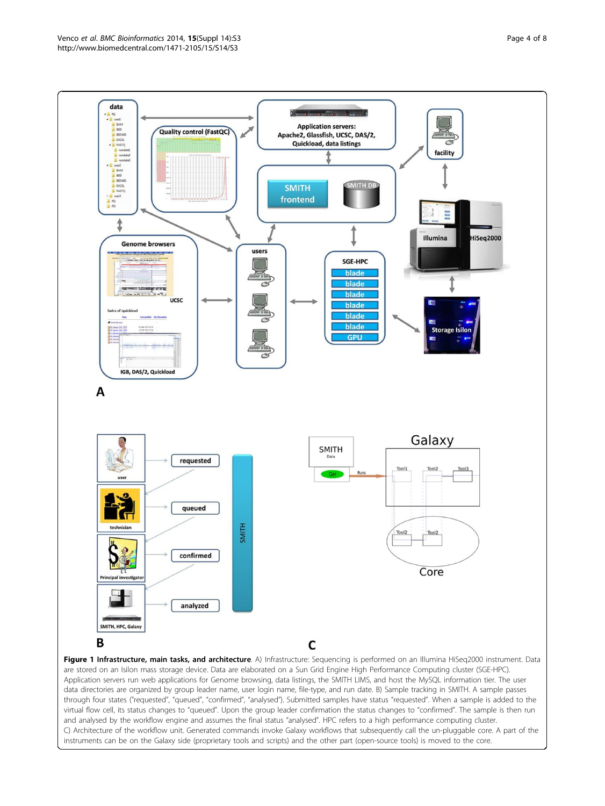<span id="page-3-0"></span>

virtual flow cell, its status changes to "queued". Upon the group leader confirmation the status changes to "confirmed". The sample is then run and analysed by the workflow engine and assumes the final status "analysed". HPC refers to a high performance computing cluster. C) Architecture of the workflow unit. Generated commands invoke Galaxy workflows that subsequently call the un-pluggable core. A part of the instruments can be on the Galaxy side (proprietary tools and scripts) and the other part (open-source tools) is moved to the core.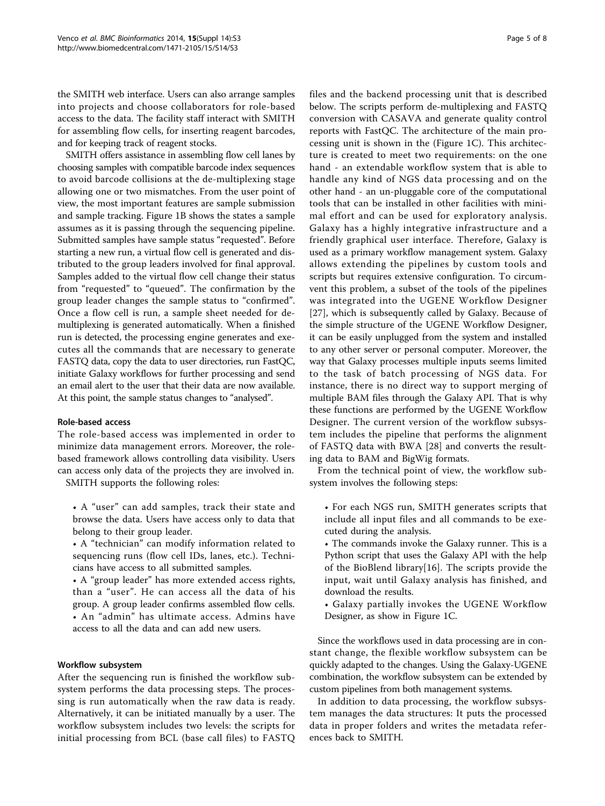the SMITH web interface. Users can also arrange samples into projects and choose collaborators for role-based access to the data. The facility staff interact with SMITH for assembling flow cells, for inserting reagent barcodes, and for keeping track of reagent stocks.

SMITH offers assistance in assembling flow cell lanes by choosing samples with compatible barcode index sequences to avoid barcode collisions at the de-multiplexing stage allowing one or two mismatches. From the user point of view, the most important features are sample submission and sample tracking. Figure [1B](#page-3-0) shows the states a sample assumes as it is passing through the sequencing pipeline. Submitted samples have sample status "requested". Before starting a new run, a virtual flow cell is generated and distributed to the group leaders involved for final approval. Samples added to the virtual flow cell change their status from "requested" to "queued". The confirmation by the group leader changes the sample status to "confirmed". Once a flow cell is run, a sample sheet needed for demultiplexing is generated automatically. When a finished run is detected, the processing engine generates and executes all the commands that are necessary to generate FASTQ data, copy the data to user directories, run FastQC, initiate Galaxy workflows for further processing and send an email alert to the user that their data are now available. At this point, the sample status changes to "analysed".

#### Role-based access

The role-based access was implemented in order to minimize data management errors. Moreover, the rolebased framework allows controlling data visibility. Users can access only data of the projects they are involved in.

SMITH supports the following roles:

- A "user" can add samples, track their state and browse the data. Users have access only to data that belong to their group leader.
- A "technician" can modify information related to sequencing runs (flow cell IDs, lanes, etc.). Technicians have access to all submitted samples.
- A "group leader" has more extended access rights, than a "user". He can access all the data of his group. A group leader confirms assembled flow cells. • An "admin" has ultimate access. Admins have access to all the data and can add new users.

#### Workflow subsystem

After the sequencing run is finished the workflow subsystem performs the data processing steps. The processing is run automatically when the raw data is ready. Alternatively, it can be initiated manually by a user. The workflow subsystem includes two levels: the scripts for initial processing from BCL (base call files) to FASTQ files and the backend processing unit that is described below. The scripts perform de-multiplexing and FASTQ conversion with CASAVA and generate quality control reports with FastQC. The architecture of the main processing unit is shown in the (Figure [1C](#page-3-0)). This architecture is created to meet two requirements: on the one hand - an extendable workflow system that is able to handle any kind of NGS data processing and on the other hand - an un-pluggable core of the computational tools that can be installed in other facilities with minimal effort and can be used for exploratory analysis. Galaxy has a highly integrative infrastructure and a friendly graphical user interface. Therefore, Galaxy is used as a primary workflow management system. Galaxy allows extending the pipelines by custom tools and scripts but requires extensive configuration. To circumvent this problem, a subset of the tools of the pipelines was integrated into the UGENE Workflow Designer [[27\]](#page-7-0), which is subsequently called by Galaxy. Because of the simple structure of the UGENE Workflow Designer, it can be easily unplugged from the system and installed to any other server or personal computer. Moreover, the way that Galaxy processes multiple inputs seems limited to the task of batch processing of NGS data. For instance, there is no direct way to support merging of multiple BAM files through the Galaxy API. That is why these functions are performed by the UGENE Workflow Designer. The current version of the workflow subsystem includes the pipeline that performs the alignment of FASTQ data with BWA [\[28](#page-7-0)] and converts the resulting data to BAM and BigWig formats.

From the technical point of view, the workflow subsystem involves the following steps:

- For each NGS run, SMITH generates scripts that include all input files and all commands to be executed during the analysis.
- The commands invoke the Galaxy runner. This is a Python script that uses the Galaxy API with the help of the BioBlend library[\[16](#page-7-0)]. The scripts provide the input, wait until Galaxy analysis has finished, and download the results.
- Galaxy partially invokes the UGENE Workflow Designer, as show in Figure 1C.

Since the workflows used in data processing are in constant change, the flexible workflow subsystem can be quickly adapted to the changes. Using the Galaxy-UGENE combination, the workflow subsystem can be extended by custom pipelines from both management systems.

In addition to data processing, the workflow subsystem manages the data structures: It puts the processed data in proper folders and writes the metadata references back to SMITH.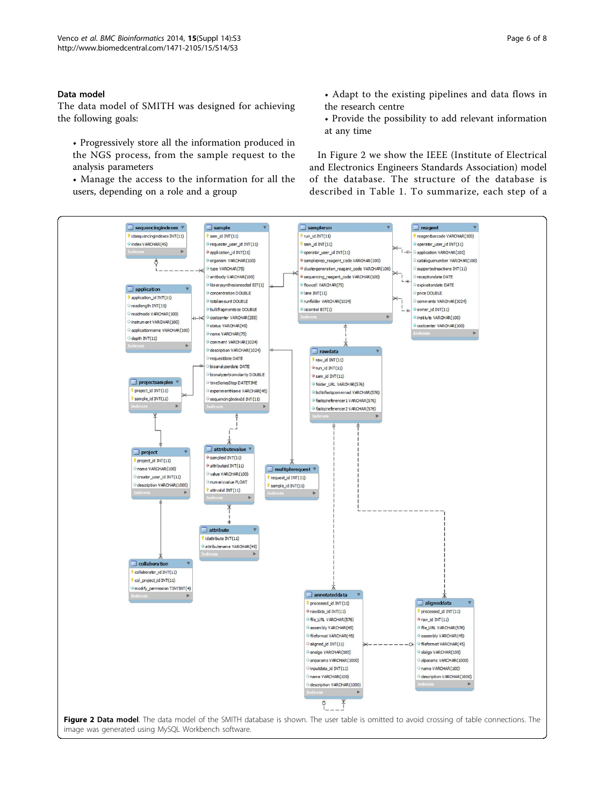## Data model

The data model of SMITH was designed for achieving the following goals:

• Progressively store all the information produced in the NGS process, from the sample request to the analysis parameters

• Manage the access to the information for all the users, depending on a role and a group

- Adapt to the existing pipelines and data flows in the research centre
- Provide the possibility to add relevant information at any time

In Figure 2 we show the IEEE (Institute of Electrical and Electronics Engineers Standards Association) model of the database. The structure of the database is described in Table [1](#page-6-0). To summarize, each step of a

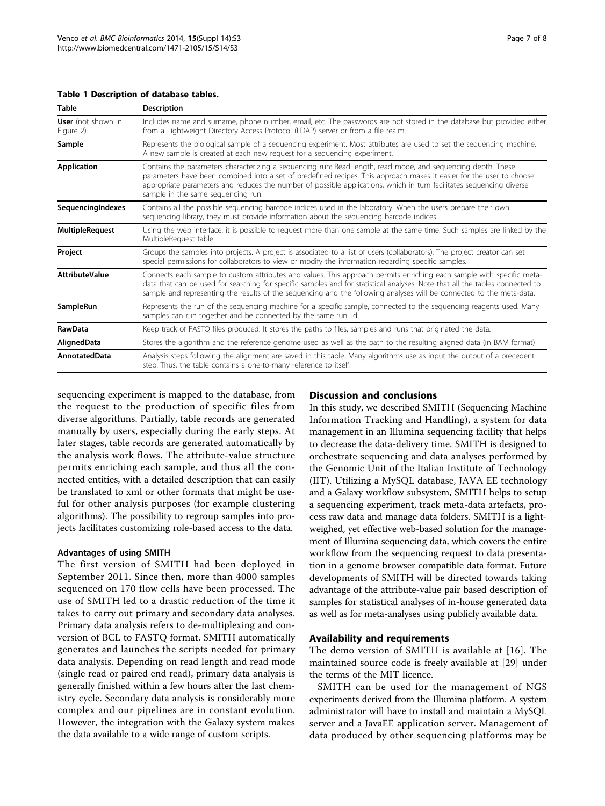<span id="page-6-0"></span>

| <b>Table</b>                           | <b>Description</b>                                                                                                                                                                                                                                                                                                                                                                                 |
|----------------------------------------|----------------------------------------------------------------------------------------------------------------------------------------------------------------------------------------------------------------------------------------------------------------------------------------------------------------------------------------------------------------------------------------------------|
| <b>User</b> (not shown in<br>Figure 2) | Includes name and surname, phone number, email, etc. The passwords are not stored in the database but provided either<br>from a Lightweight Directory Access Protocol (LDAP) server or from a file realm.                                                                                                                                                                                          |
| Sample                                 | Represents the biological sample of a sequencing experiment. Most attributes are used to set the sequencing machine.<br>A new sample is created at each new request for a sequencing experiment.                                                                                                                                                                                                   |
| <b>Application</b>                     | Contains the parameters characterizing a sequencing run: Read length, read mode, and sequencing depth. These<br>parameters have been combined into a set of predefined recipes. This approach makes it easier for the user to choose<br>appropriate parameters and reduces the number of possible applications, which in turn facilitates sequencing diverse<br>sample in the same sequencing run. |
| SequencingIndexes                      | Contains all the possible sequencing barcode indices used in the laboratory. When the users prepare their own<br>sequencing library, they must provide information about the sequencing barcode indices.                                                                                                                                                                                           |
| <b>MultipleRequest</b>                 | Using the web interface, it is possible to request more than one sample at the same time. Such samples are linked by the<br>MultipleRequest table.                                                                                                                                                                                                                                                 |
| Project                                | Groups the samples into projects. A project is associated to a list of users (collaborators). The project creator can set<br>special permissions for collaborators to view or modify the information regarding specific samples.                                                                                                                                                                   |
| <b>AttributeValue</b>                  | Connects each sample to custom attributes and values. This approach permits enriching each sample with specific meta-<br>data that can be used for searching for specific samples and for statistical analyses. Note that all the tables connected to<br>sample and representing the results of the sequencing and the following analyses will be connected to the meta-data.                      |
| SampleRun                              | Represents the run of the sequencing machine for a specific sample, connected to the sequencing reagents used. Many<br>samples can run together and be connected by the same run_id.                                                                                                                                                                                                               |
| <b>RawData</b>                         | Keep track of FASTQ files produced. It stores the paths to files, samples and runs that originated the data.                                                                                                                                                                                                                                                                                       |
| AlignedData                            | Stores the algorithm and the reference genome used as well as the path to the resulting aligned data (in BAM format)                                                                                                                                                                                                                                                                               |
| AnnotatedData                          | Analysis steps following the alignment are saved in this table. Many algorithms use as input the output of a precedent<br>step. Thus, the table contains a one-to-many reference to itself.                                                                                                                                                                                                        |

# sequencing experiment is mapped to the database, from the request to the production of specific files from diverse algorithms. Partially, table records are generated manually by users, especially during the early steps. At later stages, table records are generated automatically by the analysis work flows. The attribute-value structure permits enriching each sample, and thus all the connected entities, with a detailed description that can easily be translated to xml or other formats that might be useful for other analysis purposes (for example clustering algorithms). The possibility to regroup samples into projects facilitates customizing role-based access to the data.

#### Advantages of using SMITH

The first version of SMITH had been deployed in September 2011. Since then, more than 4000 samples sequenced on 170 flow cells have been processed. The use of SMITH led to a drastic reduction of the time it takes to carry out primary and secondary data analyses. Primary data analysis refers to de-multiplexing and conversion of BCL to FASTQ format. SMITH automatically generates and launches the scripts needed for primary data analysis. Depending on read length and read mode (single read or paired end read), primary data analysis is generally finished within a few hours after the last chemistry cycle. Secondary data analysis is considerably more complex and our pipelines are in constant evolution. However, the integration with the Galaxy system makes the data available to a wide range of custom scripts.

# Discussion and conclusions

In this study, we described SMITH (Sequencing Machine Information Tracking and Handling), a system for data management in an Illumina sequencing facility that helps to decrease the data-delivery time. SMITH is designed to orchestrate sequencing and data analyses performed by the Genomic Unit of the Italian Institute of Technology (IIT). Utilizing a MySQL database, JAVA EE technology and a Galaxy workflow subsystem, SMITH helps to setup a sequencing experiment, track meta-data artefacts, process raw data and manage data folders. SMITH is a lightweighed, yet effective web-based solution for the management of Illumina sequencing data, which covers the entire workflow from the sequencing request to data presentation in a genome browser compatible data format. Future developments of SMITH will be directed towards taking advantage of the attribute-value pair based description of samples for statistical analyses of in-house generated data as well as for meta-analyses using publicly available data.

#### Availability and requirements

The demo version of SMITH is available at [[16](#page-7-0)]. The maintained source code is freely available at [[29\]](#page-7-0) under the terms of the MIT licence.

SMITH can be used for the management of NGS experiments derived from the Illumina platform. A system administrator will have to install and maintain a MySQL server and a JavaEE application server. Management of data produced by other sequencing platforms may be